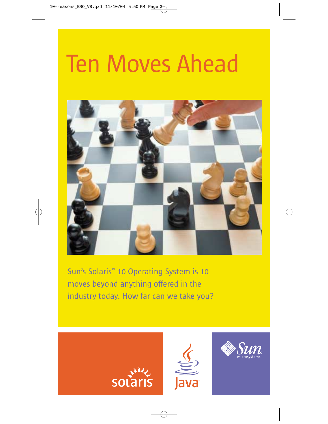# Ten Moves Ahead



Sun's Solaris™ 10 Operating System is 10 moves beyond anything offered in the industry today. How far can we take you?





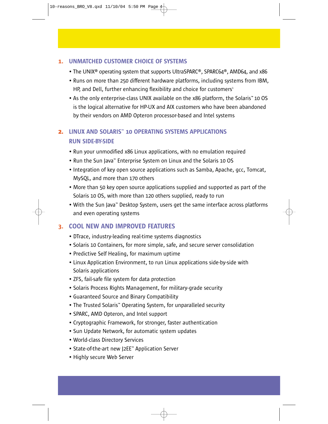#### 1. UNMATCHED CUSTOMER CHOICE OF SYSTEMS

- The UNIX® operating system that supports UltraSPARC®, SPARC64®, AMD64, and x86
- Runs on more than 250 different hardware platforms, including systems from IBM, HP, and Dell, further enhancing flexibility and choice for customers $1$
- As the only enterprise-class UNIX available on the x86 platform, the Solaris™ 10 OS is the logical alternative for HP-UX and AIX customers who have been abandoned by their vendors on AMD Opteron processor-based and Intel systems

# 2. LINUX AND SOLARIS™ 10 OPERATING SYSTEMS APPLICATIONS RUN SIDE-BY-SIDE

- Run your unmodified x86 Linux applications, with no emulation required
- Run the Sun Java™ Enterprise System on Linux and the Solaris 10 OS
- Integration of key open source applications such as Samba, Apache, gcc, Tomcat, MySQL, and more than 170 others
- More than 50 key open source applications supplied and supported as part of the Solaris 10 OS, with more than 120 others supplied, ready to run
- With the Sun Java™ Desktop System, users get the same interface across platforms and even operating systems

# 3. COOL NEW AND IMPROVED FEATURES

- DTrace, industry-leading real-time systems diagnostics
- Solaris 10 Containers, for more simple, safe, and secure server consolidation
- Predictive Self Healing, for maximum uptime
- Linux Application Environment, to run Linux applications side-by-side with Solaris applications
- ZFS, fail-safe file system for data protection
- Solaris Process Rights Management, for military-grade security
- Guaranteed Source and Binary Compatibility
- The Trusted Solaris™ Operating System, for unparalleled security
- SPARC, AMD Opteron, and Intel support
- Cryptographic Framework, for stronger, faster authentication
- Sun Update Network, for automatic system updates
- World-class Directory Services
- State-of-the-art new J2EE™ Application Server
- Highly secure Web Server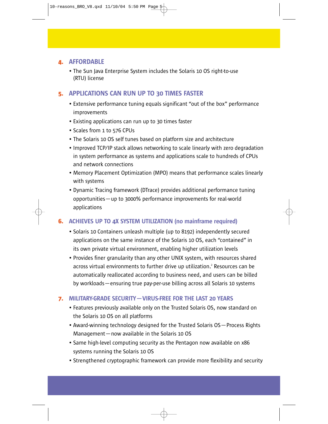# 4. AFFORDABLE

• The Sun Java Enterprise System includes the Solaris 10 OS right-to-use (RTU) license

# 5. APPLICATIONS CAN RUN UP TO 30 TIMES FASTER

- Extensive performance tuning equals significant "out of the box" performance improvements
- Existing applications can run up to 30 times faster
- Scales from 1 to 576 CPUs
- The Solaris 10 OS self tunes based on platform size and architecture
- Improved TCP/IP stack allows networking to scale linearly with zero degradation in system performance as systems and applications scale to hundreds of CPUs and network connections
- Memory Placement Optimization (MPO) means that performance scales linearly with systems
- Dynamic Tracing framework (DTrace) provides additional performance tuning opportunities—up to 3000% performance improvements for real-world applications

# 6. ACHIEVES UP TO 4X SYSTEM UTILIZATION (no mainframe required)

- Solaris 10 Containers unleash multiple (up to 8192) independently secured applications on the same instance of the Solaris 10 OS, each "contained" in its own private virtual environment, enabling higher utilization levels
- Provides finer granularity than any other UNIX system, with resources shared across virtual environments to further drive up utilization.<sup>2</sup> Resources can be automatically reallocated according to business need, and users can be billed by workloads—ensuring true pay-per-use billing across all Solaris 10 systems

#### 7. MILITARY-GRADE SECURITY—VIRUS-FREE FOR THE LAST 20 YEARS

- Features previously available only on the Trusted Solaris OS, now standard on the Solaris 10 OS on all platforms
- Award-winning technology designed for the Trusted Solaris OS—Process Rights Management—now available in the Solaris 10 OS
- Same high-level computing security as the Pentagon now available on x86 systems running the Solaris 10 OS
- Strengthened cryptographic framework can provide more flexibility and security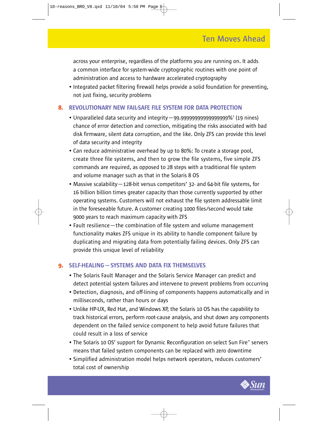across your enterprise, regardless of the platforms you are running on. It adds a common interface for system-wide cryptographic routines with one point of administration and access to hardware accelerated cryptography

• Integrated packet filtering firewall helps provide a solid foundation for preventing, not just fixing, security problems

#### 8. REVOLUTIONARY NEW FAIL-SAFE FILE SYSTEM FOR DATA PROTECTION

- Unparalleled data security and integrity—99.99999999999999999%3 (19 nines) chance of error detection and correction, mitigating the risks associated with bad disk firmware, silent data corruption, and the like. Only ZFS can provide this level of data security and integrity
- Can reduce administrative overhead by up to 80%: To create a storage pool, create three file systems, and then to grow the file systems, five simple ZFS commands are required, as opposed to 28 steps with a traditional file system and volume manager such as that in the Solaris 8 OS
- Massive scalability—128-bit versus competitors' 32- and 64-bit file systems, for 16 billion billion times greater capacity than those currently supported by other operating systems. Customers will not exhaust the file system addressable limit in the foreseeable future. A customer creating 1000 files/second would take 9000 years to reach maximum capacity with ZFS
- Fault resilience—the combination of file system and volume management functionality makes ZFS unique in its ability to handle component failure by duplicating and migrating data from potentially failing devices. Only ZFS can provide this unique level of reliability

#### 9. SELF-HEALING—SYSTEMS AND DATA FIX THEMSELVES

- The Solaris Fault Manager and the Solaris Service Manager can predict and detect potential system failures and intervene to prevent problems from occurring
- Detection, diagnosis, and off-lining of components happens automatically and in milliseconds, rather than hours or days
- Unlike HP-UX, Red Hat, and Windows XP, the Solaris 10 OS has the capability to track historical errors, perform root-cause analysis, and shut down any components dependent on the failed service component to help avoid future failures that could result in a loss of service
- The Solaris 10 OS' support for Dynamic Reconfiguration on select Sun Fire™ servers means that failed system components can be replaced with zero downtime
- Simplified administration model helps network operators, reduces customers' total cost of ownership

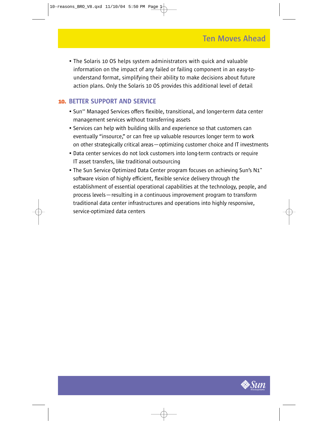• The Solaris 10 OS helps system administrators with quick and valuable information on the impact of any failed or failing component in an easy-tounderstand format, simplifying their ability to make decisions about future action plans. Only the Solaris 10 OS provides this additional level of detail

# 10. BETTER SUPPORT AND SERVICE

- Sun<sup>sm</sup> Managed Services offers flexible, transitional, and longer-term data center management services without transferring assets
- Services can help with building skills and experience so that customers can eventually "insource," or can free up valuable resources longer term to work on other strategically critical areas—optimizing customer choice and IT investments
- Data center services do not lock customers into long-term contracts or require IT asset transfers, like traditional outsourcing
- The Sun Service Optimized Data Center program focuses on achieving Sun's N1™ software vision of highly efficient, flexible service delivery through the establishment of essential operational capabilities at the technology, people, and process levels—resulting in a continuous improvement program to transform traditional data center infrastructures and operations into highly responsive, service-optimized data centers